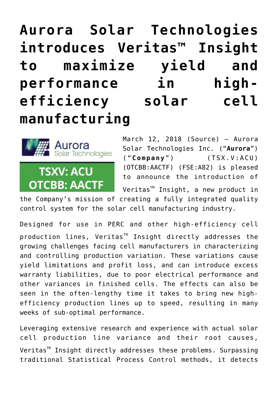## **[Aurora Solar Technologies](https://investorintel.com/markets/cleantech/cleantech-news/aurora-solar-technologies-introduces-veritas-insight-maximize-yield-performance-high-efficiency-solar-cell-manufacturing/) [introduces Veritas™ Insight](https://investorintel.com/markets/cleantech/cleantech-news/aurora-solar-technologies-introduces-veritas-insight-maximize-yield-performance-high-efficiency-solar-cell-manufacturing/) [to maximize yield and](https://investorintel.com/markets/cleantech/cleantech-news/aurora-solar-technologies-introduces-veritas-insight-maximize-yield-performance-high-efficiency-solar-cell-manufacturing/) [performance in high](https://investorintel.com/markets/cleantech/cleantech-news/aurora-solar-technologies-introduces-veritas-insight-maximize-yield-performance-high-efficiency-solar-cell-manufacturing/)[efficiency solar cell](https://investorintel.com/markets/cleantech/cleantech-news/aurora-solar-technologies-introduces-veritas-insight-maximize-yield-performance-high-efficiency-solar-cell-manufacturing/) [manufacturing](https://investorintel.com/markets/cleantech/cleantech-news/aurora-solar-technologies-introduces-veritas-insight-maximize-yield-performance-high-efficiency-solar-cell-manufacturing/)**



March 12, 2018 ([Source\)](https://investorintel.com/iintel-members/aurora-solar-technologies-inc-2/) — Aurora Solar Technologies Inc. ("**Aurora**") ( "**Company**") (TSX.V:ACU) (OTCBB:AACTF) (FSE:A82) is pleased to announce the introduction of

Veritas<sup>™</sup> Insight, a new product in the Company's mission of creating a fully integrated quality control system for the solar cell manufacturing industry.

Designed for use in PERC and other high-efficiency cell production lines, Veritas<sup>™</sup> Insight directly addresses the growing challenges facing cell manufacturers in characterizing and controlling production variation. These variations cause yield limitations and profit loss, and can introduce excess warranty liabilities, due to poor electrical performance and other variances in finished cells. The effects can also be seen in the often-lengthy time it takes to bring new highefficiency production lines up to speed, resulting in many weeks of sub-optimal performance.

Leveraging extensive research and experience with actual solar cell production line variance and their root causes, Veritas<sup>™</sup> Insight directly addresses these problems. Surpassing traditional Statistical Process Control methods, it detects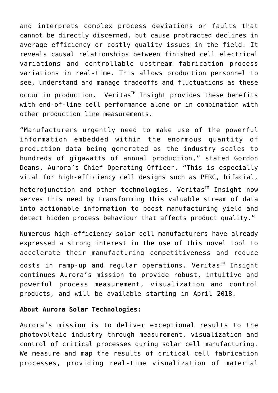and interprets complex process deviations or faults that cannot be directly discerned, but cause protracted declines in average efficiency or costly quality issues in the field. It reveals causal relationships between finished cell electrical variations and controllable upstream fabrication process variations in real-time. This allows production personnel to see, understand and manage tradeoffs and fluctuations as these  $occur$  in production. Veritas<sup> $M$ </sup> Insight provides these benefits with end-of-line cell performance alone or in combination with other production line measurements.

"Manufacturers urgently need to make use of the powerful information embedded within the enormous quantity of production data being generated as the industry scales to hundreds of gigawatts of annual production," stated Gordon Deans, Aurora's Chief Operating Officer. "This is especially vital for high-efficiency cell designs such as PERC, bifacial,

 $heterojunction$  and other technologies. Veritas<sup>TM</sup> Insight now serves this need by transforming this valuable stream of data into actionable information to boost manufacturing yield and detect hidden process behaviour that affects product quality."

Numerous high-efficiency solar cell manufacturers have already expressed a strong interest in the use of this novel tool to accelerate their manufacturing competitiveness and reduce  $costs$  in ramp-up and regular operations. Veritas<sup>TM</sup> Insight continues Aurora's mission to provide robust, intuitive and powerful process measurement, visualization and control products, and will be available starting in April 2018.

## **About Aurora Solar Technologies:**

Aurora's mission is to deliver exceptional results to the photovoltaic industry through measurement, visualization and control of critical processes during solar cell manufacturing. We measure and map the results of critical cell fabrication processes, providing real-time visualization of material